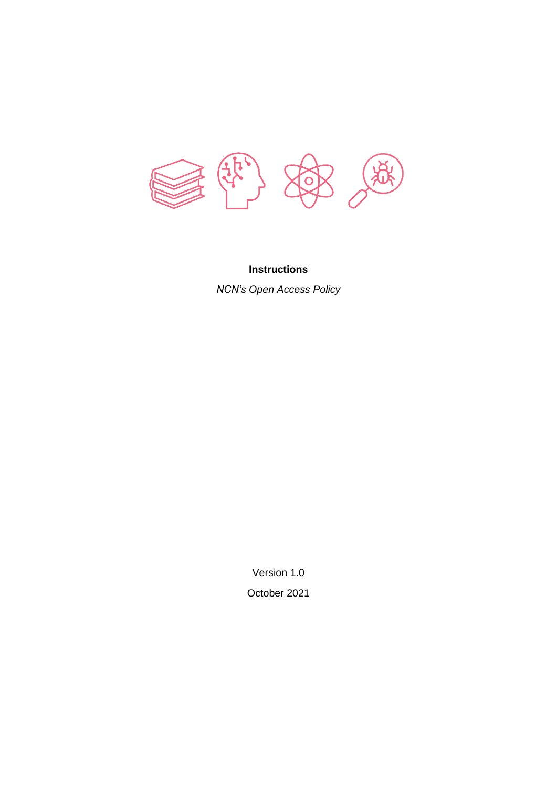

## **Instructions**

*NCN's Open Access Policy*

Version 1.0 October 2021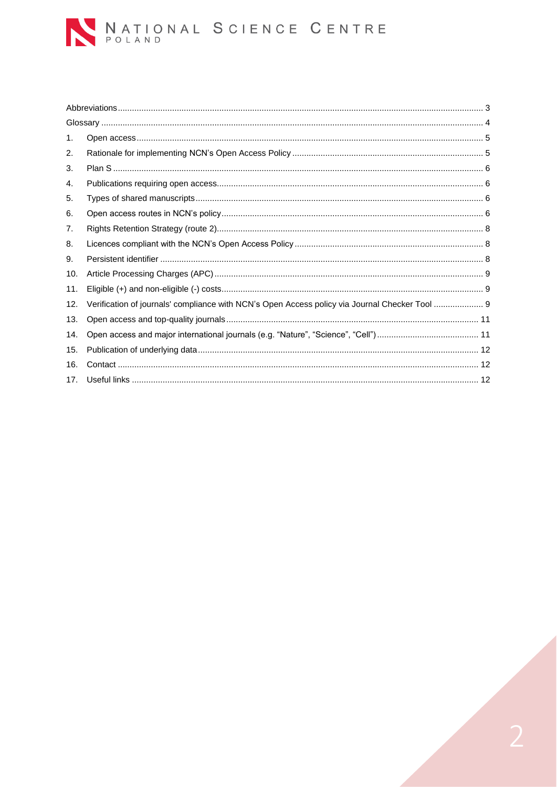

| 1.  |                                                                                                |  |  |  |  |
|-----|------------------------------------------------------------------------------------------------|--|--|--|--|
| 2.  |                                                                                                |  |  |  |  |
| 3.  |                                                                                                |  |  |  |  |
| 4.  |                                                                                                |  |  |  |  |
| 5.  |                                                                                                |  |  |  |  |
| 6.  |                                                                                                |  |  |  |  |
| 7.  |                                                                                                |  |  |  |  |
| 8.  |                                                                                                |  |  |  |  |
| 9.  |                                                                                                |  |  |  |  |
| 10. |                                                                                                |  |  |  |  |
| 11. |                                                                                                |  |  |  |  |
| 12. | Verification of journals' compliance with NCN's Open Access policy via Journal Checker Tool  9 |  |  |  |  |
| 13. |                                                                                                |  |  |  |  |
| 14. |                                                                                                |  |  |  |  |
| 15. |                                                                                                |  |  |  |  |
| 16. |                                                                                                |  |  |  |  |
| 17. |                                                                                                |  |  |  |  |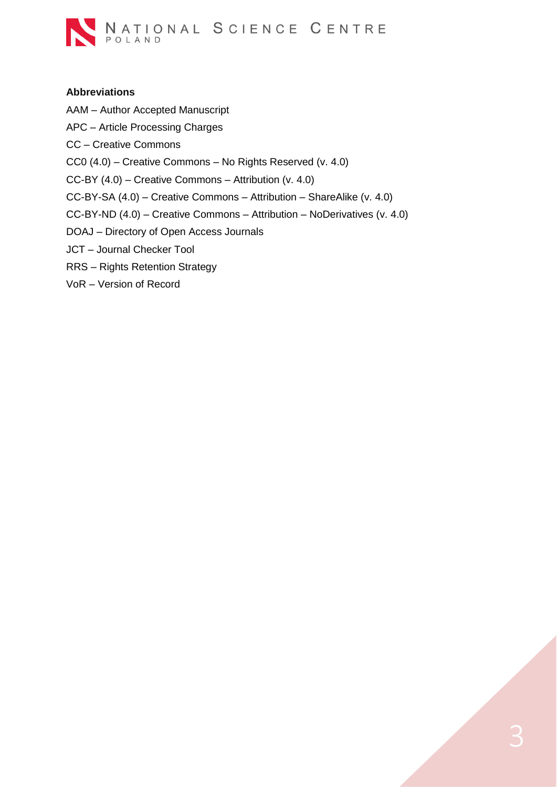

#### <span id="page-2-0"></span>**Abbreviations**

- AAM Author Accepted Manuscript
- APC Article Processing Charges
- CC Creative Commons
- CC0 (4.0) Creative Commons No Rights Reserved (v. 4.0)
- CC-BY (4.0) Creative Commons Attribution (v. 4.0)
- CC-BY-SA (4.0) Creative Commons Attribution ShareAlike (v. 4.0)
- CC-BY-ND (4.0) Creative Commons Attribution NoDerivatives (v. 4.0)
- DOAJ Directory of Open Access Journals
- JCT Journal Checker Tool
- RRS Rights Retention Strategy
- VoR Version of Record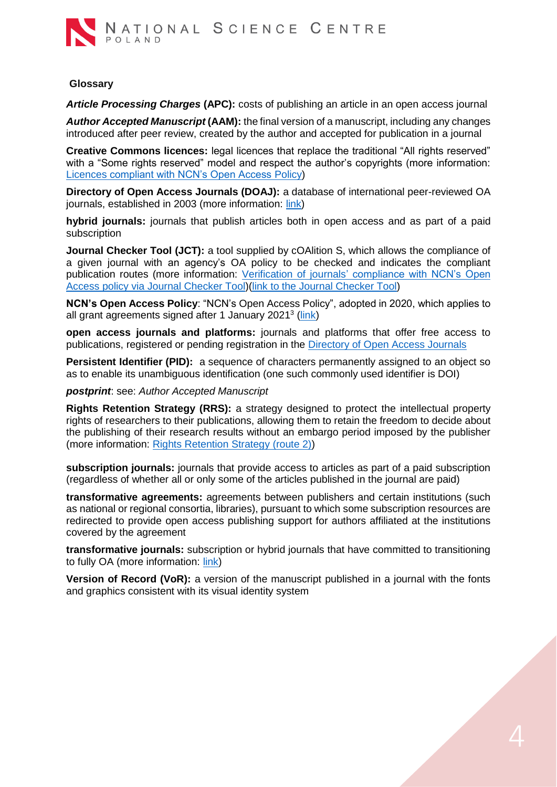

#### <span id="page-3-0"></span>**Glossary**

*Article Processing Charges* **(APC):** costs of publishing an article in an open access journal

*Author Accepted Manuscript* **(AAM):** the final version of a manuscript, including any changes introduced after peer review, created by the author and accepted for publication in a journal

**Creative Commons licences:** legal licences that replace the traditional "All rights reserved" with a "Some rights reserved" model and respect the author's copyrights (more information: [Licences](#page-7-1) compliant with NCN's Open Access Policy)

**Directory of Open Access Journals (DOAJ):** a database of international peer-reviewed OA journals, established in 2003 (more information: [link\)](https://doaj.org/)

**hybrid journals:** journals that publish articles both in open access and as part of a paid subscription

**Journal Checker Tool (JCT):** a tool supplied by cOAlition S, which allows the compliance of a given journal with an agency's OA policy to be checked and indicates the compliant publication routes (more information: Verification of journals' [compliance with NCN's Open](#page-8-2)  Access policy via [Journal Checker Tool\)](#page-8-2)[\(link to the Journal Checker Tool\)](https://journalcheckertool.org/)

**NCN's Open Access Policy**: "NCN's Open Access Policy", adopted in 2020, which applies to all grant agreements signed after 1 January 2021<sup>3</sup> [\(link\)](https://ncn.gov.pl/sites/default/files/pliki/zarzadzenia-dyrektora/zarzadzenieDyr-38_2020_ang.pdf#page=2)

**open access journals and platforms:** journals and platforms that offer free access to publications, registered or pending registration in the [Directory of Open Access Journals](https://doaj.org/)

**Persistent Identifier (PID):** a sequence of characters permanently assigned to an object so as to enable its unambiguous identification (one such commonly used identifier is DOI)

*postprint*: see: *Author Accepted Manuscript*

**Rights Retention Strategy (RRS):** a strategy designed to protect the intellectual property rights of researchers to their publications, allowing them to retain the freedom to decide about the publishing of their research results without an embargo period imposed by the publisher (more information: [Rights Retention Strategy](#page-7-0) (route 2))

**subscription journals:** journals that provide access to articles as part of a paid subscription (regardless of whether all or only some of the articles published in the journal are paid)

**transformative agreements:** agreements between publishers and certain institutions (such as national or regional consortia, libraries), pursuant to which some subscription resources are redirected to provide open access publishing support for authors affiliated at the institutions covered by the agreement

**transformative journals:** subscription or hybrid journals that have committed to transitioning to fully OA (more information: [link\)](https://www.coalition-s.org/transformative-journals-faq/)

**Version of Record (VoR):** a version of the manuscript published in a journal with the fonts and graphics consistent with its visual identity system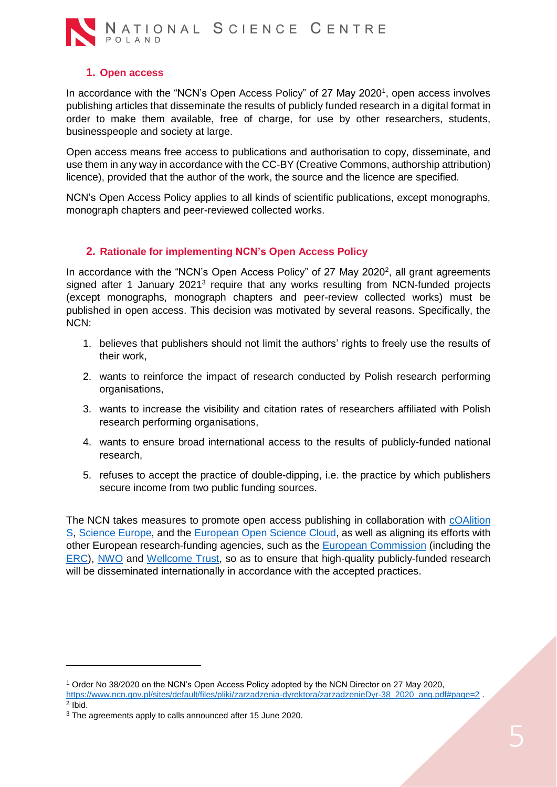

## **1. Open access**

<span id="page-4-0"></span>In accordance with the "NCN's Open Access Policy" of 27 May 2020<sup>1</sup>, open access involves publishing articles that disseminate the results of publicly funded research in a digital format in order to make them available, free of charge, for use by other researchers, students, businesspeople and society at large.

Open access means free access to publications and authorisation to copy, disseminate, and use them in any way in accordance with the CC-BY (Creative Commons, authorship attribution) licence), provided that the author of the work, the source and the licence are specified.

NCN's Open Access Policy applies to all kinds of scientific publications, except monographs, monograph chapters and peer-reviewed collected works.

### **2. Rationale for implementing NCN's Open Access Policy**

<span id="page-4-1"></span>In accordance with the "NCN's Open Access Policy" of 27 May 2020<sup>2</sup>, all grant agreements signed after 1 January 2021<sup>3</sup> require that any works resulting from NCN-funded projects (except monographs, monograph chapters and peer-review collected works) must be published in open access. This decision was motivated by several reasons. Specifically, the NCN:

- 1. believes that publishers should not limit the authors' rights to freely use the results of their work,
- 2. wants to reinforce the impact of research conducted by Polish research performing organisations,
- 3. wants to increase the visibility and citation rates of researchers affiliated with Polish research performing organisations,
- 4. wants to ensure broad international access to the results of publicly-funded national research,
- 5. refuses to accept the practice of double-dipping, i.e. the practice by which publishers secure income from two public funding sources.

The NCN takes measures to promote open access publishing in collaboration with [cOAlition](https://www.coalition-s.org/)  [S,](https://www.coalition-s.org/) [Science Europe,](https://scienceeurope.org/our-priorities/open-access/) and the [European Open Science Cloud,](https://ec.europa.eu/info/research-and-innovation/strategy/strategy-2020-2024/our-digital-future/open-science/european-open-science-cloud-eosc_en) as well as aligning its efforts with other European research-funding agencies, such as the **European Commission** (including the [ERC\)](https://erc.europa.eu/managing-your-project/open-science), [NWO](https://www.nwo.nl/en/open-science) and [Wellcome Trust,](https://wellcome.org/what-we-do/our-work/open-research) so as to ensure that high-quality publicly-funded research will be disseminated internationally in accordance with the accepted practices.

 $\overline{a}$ 

<sup>1</sup> Order No 38/2020 on the NCN's Open Access Policy adopted by the NCN Director on 27 May 2020, [https://www.ncn.gov.pl/sites/default/files/pliki/zarzadzenia-dyrektora/zarzadzenieDyr-38\\_2020\\_ang.pdf#page=2](https://www.ncn.gov.pl/sites/default/files/pliki/zarzadzenia-dyrektora/zarzadzenieDyr-38_2020_ang.pdf#page=2) . 2 Ibid.

<sup>&</sup>lt;sup>3</sup> The agreements apply to calls announced after 15 June 2020.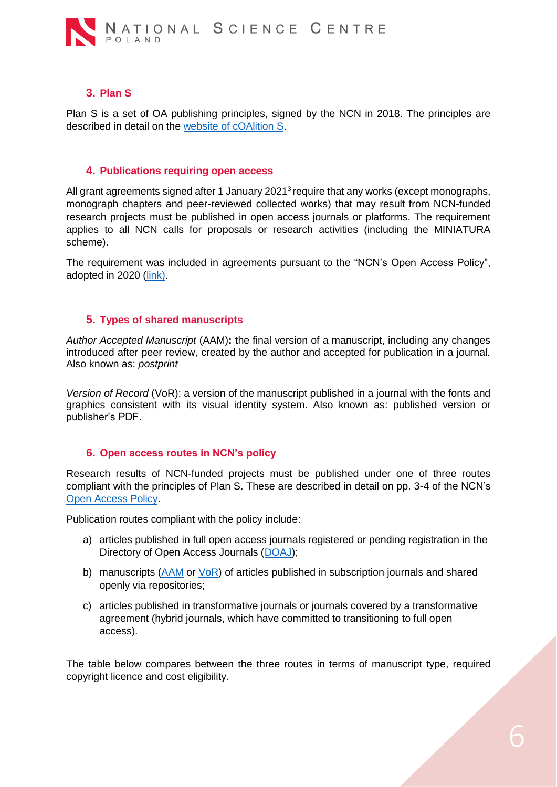

## **3. Plan S**

<span id="page-5-0"></span>Plan S is a set of OA publishing principles, signed by the NCN in 2018. The principles are described in detail on the [website of cOAlition S.](https://www.coalition-s.org/addendum-to-the-coalition-s-guidance-on-the-implementation-of-plan-s/principles-and-implementation/)

#### **4. Publications requiring open access**

<span id="page-5-1"></span>All grant agreements signed after 1 January 2021<sup>3</sup> require that any works (except monographs, monograph chapters and peer-reviewed collected works) that may result from NCN-funded research projects must be published in open access journals or platforms. The requirement applies to all NCN calls for proposals or research activities (including the MINIATURA scheme).

The requirement was included in agreements pursuant to the "NCN's Open Access Policy", adopted in 2020 [\(link\)](https://ncn.gov.pl/sites/default/files/pliki/zarzadzenia-dyrektora/zarzadzenieDyr-38_2020_ang.pdf#page=2).

#### **5. Types of shared manuscripts**

<span id="page-5-2"></span>*Author Accepted Manuscript* (AAM)**:** the final version of a manuscript, including any changes introduced after peer review, created by the author and accepted for publication in a journal. Also known as: *postprint*

*Version of Record* (VoR): a version of the manuscript published in a journal with the fonts and graphics consistent with its visual identity system. Also known as: published version or publisher's PDF.

#### <span id="page-5-3"></span>**6. Open access routes in NCN's policy**

Research results of NCN-funded projects must be published under one of three routes compliant with the principles of Plan S. These are described in detail on pp. 3-4 of the NCN's [Open Access Policy.](https://ncn.gov.pl/sites/default/files/pliki/zarzadzenia-dyrektora/zarzadzenieDyr-38_2020_ang.pdf#page=2)

Publication routes compliant with the policy include:

- a) articles published in full open access journals registered or pending registration in the Directory of Open Access Journals [\(DOAJ\)](https://doaj.org/);
- b) manuscripts [\(AAM](#page-5-2) or [VoR\)](#page-5-2) of articles published in subscription journals and shared openly via repositories;
- c) articles published in transformative journals or journals covered by a transformative agreement (hybrid journals, which have committed to transitioning to full open access).

The table below compares between the three routes in terms of manuscript type, required copyright licence and cost eligibility.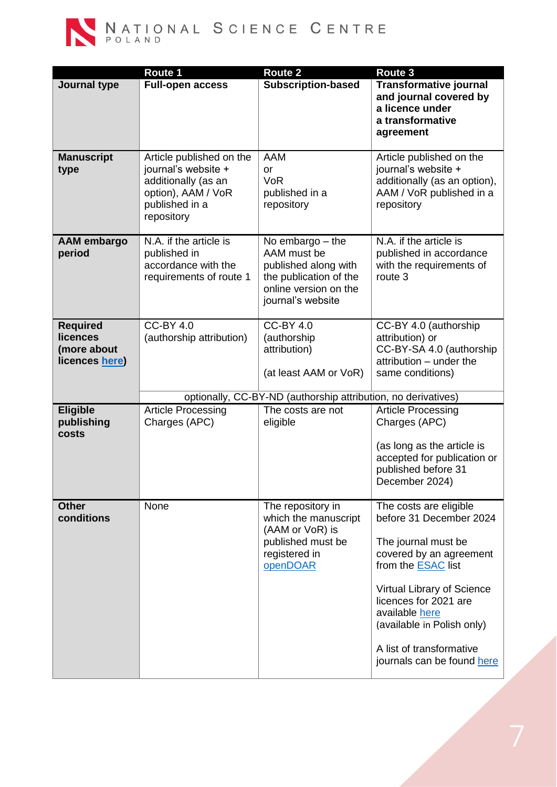

|                                                             | Route 1                                                                                                                      | <b>Route 2</b>                                                                                                                    | Route 3                                                                                                                                                                                                                                                                                           |  |  |  |
|-------------------------------------------------------------|------------------------------------------------------------------------------------------------------------------------------|-----------------------------------------------------------------------------------------------------------------------------------|---------------------------------------------------------------------------------------------------------------------------------------------------------------------------------------------------------------------------------------------------------------------------------------------------|--|--|--|
| Journal type                                                | <b>Full-open access</b>                                                                                                      | <b>Subscription-based</b>                                                                                                         | <b>Transformative journal</b><br>and journal covered by<br>a licence under<br>a transformative<br>agreement                                                                                                                                                                                       |  |  |  |
| <b>Manuscript</b><br>type                                   | Article published on the<br>journal's website +<br>additionally (as an<br>option), AAM / VoR<br>published in a<br>repository | <b>AAM</b><br>or<br><b>VoR</b><br>published in a<br>repository                                                                    | Article published on the<br>journal's website +<br>additionally (as an option),<br>AAM / VoR published in a<br>repository                                                                                                                                                                         |  |  |  |
| <b>AAM</b> embargo<br>period                                | N.A. if the article is<br>published in<br>accordance with the<br>requirements of route 1                                     | No embargo $-$ the<br>AAM must be<br>published along with<br>the publication of the<br>online version on the<br>journal's website | N.A. if the article is<br>published in accordance<br>with the requirements of<br>route 3                                                                                                                                                                                                          |  |  |  |
| <b>Required</b><br>licences<br>(more about<br>licences here | <b>CC-BY 4.0</b><br>(authorship attribution)                                                                                 | <b>CC-BY 4.0</b><br>(authorship<br>attribution)<br>(at least AAM or VoR)                                                          | CC-BY 4.0 (authorship<br>attribution) or<br>CC-BY-SA 4.0 (authorship<br>attribution - under the<br>same conditions)                                                                                                                                                                               |  |  |  |
|                                                             | optionally, CC-BY-ND (authorship attribution, no derivatives)                                                                |                                                                                                                                   |                                                                                                                                                                                                                                                                                                   |  |  |  |
| <b>Eligible</b><br>publishing<br>costs                      | <b>Article Processing</b><br>Charges (APC)                                                                                   | The costs are not<br>eligible                                                                                                     | <b>Article Processing</b><br>Charges (APC)<br>(as long as the article is<br>accepted for publication or<br>published before 31<br>December 2024)                                                                                                                                                  |  |  |  |
| <b>Other</b><br>conditions                                  | None                                                                                                                         | The repository in<br>which the manuscript<br>(AAM or VoR) is<br>published must be<br>registered in<br>openDOAR                    | The costs are eligible<br>before 31 December 2024<br>The journal must be<br>covered by an agreement<br>from the <b>ESAC</b> list<br>Virtual Library of Science<br>licences for 2021 are<br>available here<br>(available in Polish only)<br>A list of transformative<br>journals can be found here |  |  |  |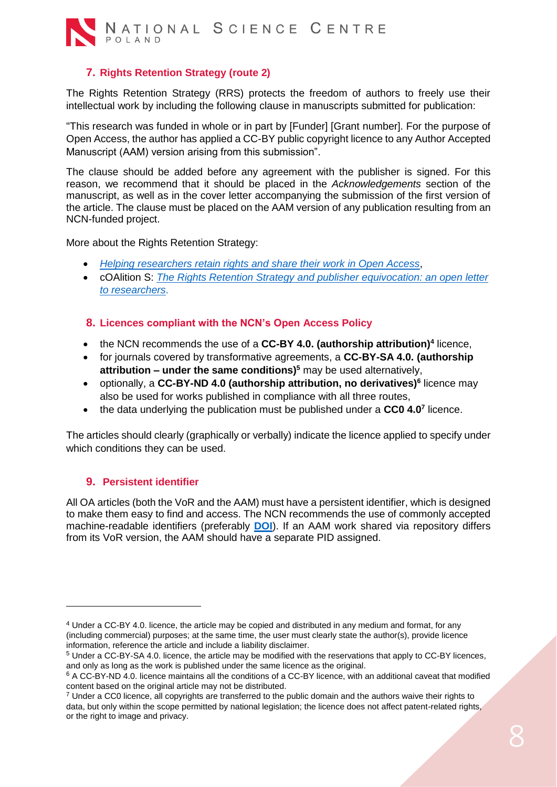

# **7. Rights Retention Strategy (route 2)**

<span id="page-7-0"></span>The Rights Retention Strategy (RRS) protects the freedom of authors to freely use their intellectual work by including the following clause in manuscripts submitted for publication:

"This research was funded in whole or in part by [Funder] [Grant number]. For the purpose of Open Access, the author has applied a CC-BY public copyright licence to any Author Accepted Manuscript (AAM) version arising from this submission".

The clause should be added before any agreement with the publisher is signed. For this reason, we recommend that it should be placed in the *Acknowledgements* section of the manuscript, as well as in the cover letter accompanying the submission of the first version of the article. The clause must be placed on the AAM version of any publication resulting from an NCN-funded project.

More about the Rights Retention Strategy:

- *[Helping researchers retain rights and share their work](https://www.coalition-s.org/wp-content/uploads/2020/10/RRS_onepager.pdf) in Open Access*,
- cOAlition S: *[The Rights Retention Strategy and publisher equivocation: an open letter](https://www.coalition-s.org/the-rrs-and-publisher-equivocation-an-open-letter-to-researchers/)  [to researchers](https://www.coalition-s.org/the-rrs-and-publisher-equivocation-an-open-letter-to-researchers/)*.

### <span id="page-7-1"></span>**8. Licences compliant with the NCN's Open Access Policy**

- the NCN recommends the use of a **CC-BY 4.0. (authorship attribution)<sup>4</sup>** licence,
- for journals covered by transformative agreements, a **CC-BY-SA 4.0. (authorship attribution – under the same conditions)<sup>5</sup>** may be used alternatively,
- optionally, a **CC-BY-ND 4.0 (authorship attribution, no derivatives)<sup>6</sup>** licence may also be used for works published in compliance with all three routes,
- the data underlying the publication must be published under a **CC0 4.0<sup>7</sup>** licence.

The articles should clearly (graphically or verbally) indicate the licence applied to specify under which conditions they can be used.

## <span id="page-7-2"></span>**9. Persistent identifier**

**.** 

All OA articles (both the VoR and the AAM) must have a persistent identifier, which is designed to make them easy to find and access. The NCN recommends the use of commonly accepted machine-readable identifiers (preferably **[DOI](https://www.doi.org/)**). If an AAM work shared via repository differs from its VoR version, the AAM should have a separate PID assigned.

<sup>4</sup> Under a CC-BY 4.0. licence, the article may be copied and distributed in any medium and format, for any (including commercial) purposes; at the same time, the user must clearly state the author(s), provide licence information, reference the article and include a liability disclaimer.

<sup>5</sup> Under a CC-BY-SA 4.0. licence, the article may be modified with the reservations that apply to CC-BY licences, and only as long as the work is published under the same licence as the original.

<sup>6</sup> A CC-BY-ND 4.0. licence maintains all the conditions of a CC-BY licence, with an additional caveat that modified content based on the original article may not be distributed.

 $7$  Under a CC0 licence, all copyrights are transferred to the public domain and the authors waive their rights to data, but only within the scope permitted by national legislation; the licence does not affect patent-related rights, or the right to image and privacy.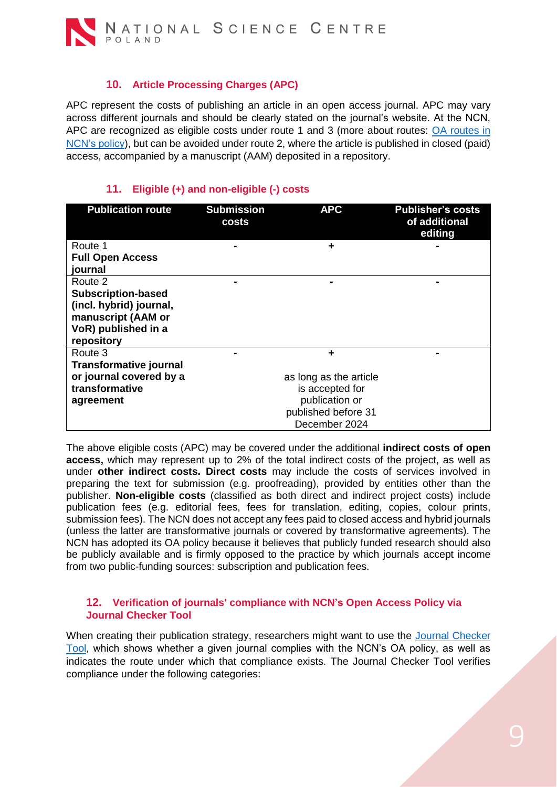## **10. Article Processing Charges (APC)**

<span id="page-8-0"></span>APC represent the costs of publishing an article in an open access journal. APC may vary across different journals and should be clearly stated on the journal's website. At the NCN, APC are recognized as eligible costs under route 1 and 3 (more about routes: [OA routes in](#page-5-3)  [NCN's](#page-5-3) policy), but can be avoided under route 2, where the article is published in closed (paid) access, accompanied by a manuscript (AAM) deposited in a repository.

# **11. Eligible (+) and non-eligible (-) costs**

<span id="page-8-1"></span>

| <b>Submission</b><br>costs | <b>APC</b>             | <b>Publisher's costs</b><br>of additional<br>editing |
|----------------------------|------------------------|------------------------------------------------------|
|                            | ÷                      |                                                      |
|                            |                        |                                                      |
|                            |                        |                                                      |
|                            |                        |                                                      |
|                            |                        |                                                      |
|                            |                        |                                                      |
|                            |                        |                                                      |
|                            |                        |                                                      |
|                            |                        |                                                      |
|                            | ÷                      |                                                      |
|                            |                        |                                                      |
|                            | as long as the article |                                                      |
|                            | is accepted for        |                                                      |
|                            | publication or         |                                                      |
|                            |                        |                                                      |
|                            |                        |                                                      |
|                            |                        | published before 31<br>December 2024                 |

The above eligible costs (APC) may be covered under the additional **indirect costs of open access,** which may represent up to 2% of the total indirect costs of the project, as well as under **other indirect costs. Direct costs** may include the costs of services involved in preparing the text for submission (e.g. proofreading), provided by entities other than the publisher. **Non-eligible costs** (classified as both direct and indirect project costs) include publication fees (e.g. editorial fees, fees for translation, editing, copies, colour prints, submission fees). The NCN does not accept any fees paid to closed access and hybrid journals (unless the latter are transformative journals or covered by transformative agreements). The NCN has adopted its OA policy because it believes that publicly funded research should also be publicly available and is firmly opposed to the practice by which journals accept income from two public-funding sources: subscription and publication fees.

#### <span id="page-8-2"></span>**12. Verification of journals' compliance with NCN's Open Access Policy via Journal Checker Tool**

When creating their publication strategy, researchers might want to use the [Journal Checker](https://journalcheckertool.org/)  [Tool,](https://journalcheckertool.org/) which shows whether a given journal complies with the NCN's OA policy, as well as indicates the route under which that compliance exists. The Journal Checker Tool verifies compliance under the following categories: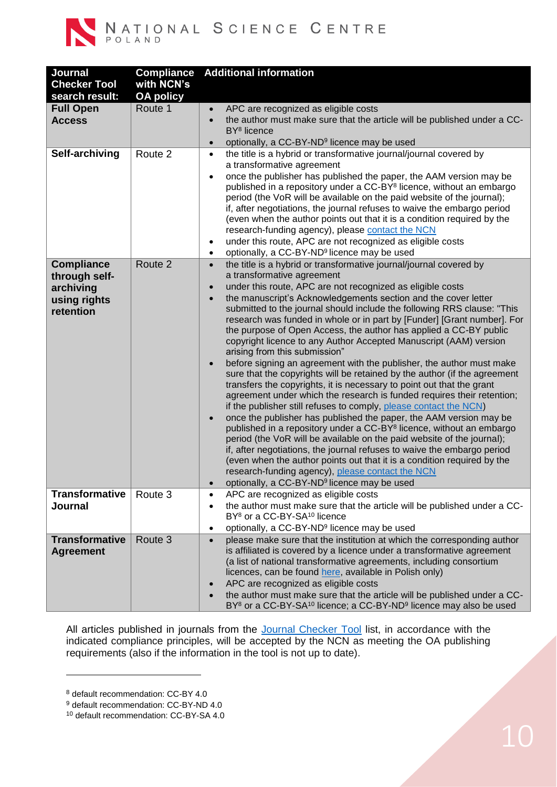

NATIONAL SCIENCE CENTRE

| Journal<br><b>Checker Tool</b><br>search result:                             | <b>Compliance</b><br>with NCN's<br><b>OA policy</b> | <b>Additional information</b>                                                                                                                                                                                                                                                                                                                                                                                                                                                                                                                                                                                                                                                                                                                                                                                                                                                                                                                                                                                                                                                                                                                                                                                                                                                                                                                                                                                                                                                                                            |
|------------------------------------------------------------------------------|-----------------------------------------------------|--------------------------------------------------------------------------------------------------------------------------------------------------------------------------------------------------------------------------------------------------------------------------------------------------------------------------------------------------------------------------------------------------------------------------------------------------------------------------------------------------------------------------------------------------------------------------------------------------------------------------------------------------------------------------------------------------------------------------------------------------------------------------------------------------------------------------------------------------------------------------------------------------------------------------------------------------------------------------------------------------------------------------------------------------------------------------------------------------------------------------------------------------------------------------------------------------------------------------------------------------------------------------------------------------------------------------------------------------------------------------------------------------------------------------------------------------------------------------------------------------------------------------|
| <b>Full Open</b><br><b>Access</b>                                            | Route 1                                             | APC are recognized as eligible costs<br>$\bullet$<br>the author must make sure that the article will be published under a CC-<br>$\bullet$<br>BY <sup>8</sup> licence<br>optionally, a CC-BY-ND <sup>9</sup> licence may be used<br>$\bullet$                                                                                                                                                                                                                                                                                                                                                                                                                                                                                                                                                                                                                                                                                                                                                                                                                                                                                                                                                                                                                                                                                                                                                                                                                                                                            |
| Self-archiving                                                               | Route 2                                             | the title is a hybrid or transformative journal/journal covered by<br>$\bullet$<br>a transformative agreement<br>once the publisher has published the paper, the AAM version may be<br>$\bullet$<br>published in a repository under a CC-BY <sup>8</sup> licence, without an embargo<br>period (the VoR will be available on the paid website of the journal);<br>if, after negotiations, the journal refuses to waive the embargo period<br>(even when the author points out that it is a condition required by the<br>research-funding agency), please contact the NCN<br>under this route, APC are not recognized as eligible costs<br>$\bullet$<br>optionally, a CC-BY-ND <sup>9</sup> licence may be used<br>$\bullet$                                                                                                                                                                                                                                                                                                                                                                                                                                                                                                                                                                                                                                                                                                                                                                                              |
| <b>Compliance</b><br>through self-<br>archiving<br>using rights<br>retention | Route 2                                             | the title is a hybrid or transformative journal/journal covered by<br>$\bullet$<br>a transformative agreement<br>under this route, APC are not recognized as eligible costs<br>$\bullet$<br>the manuscript's Acknowledgements section and the cover letter<br>$\bullet$<br>submitted to the journal should include the following RRS clause: "This<br>research was funded in whole or in part by [Funder] [Grant number]. For<br>the purpose of Open Access, the author has applied a CC-BY public<br>copyright licence to any Author Accepted Manuscript (AAM) version<br>arising from this submission"<br>before signing an agreement with the publisher, the author must make<br>$\bullet$<br>sure that the copyrights will be retained by the author (if the agreement<br>transfers the copyrights, it is necessary to point out that the grant<br>agreement under which the research is funded requires their retention;<br>if the publisher still refuses to comply, please contact the NCN)<br>once the publisher has published the paper, the AAM version may be<br>$\bullet$<br>published in a repository under a CC-BY <sup>8</sup> licence, without an embargo<br>period (the VoR will be available on the paid website of the journal);<br>if, after negotiations, the journal refuses to waive the embargo period<br>(even when the author points out that it is a condition required by the<br>research-funding agency), please contact the NCN<br>optionally, a CC-BY-ND <sup>9</sup> licence may be used |
| <b>Transformative</b><br>Journal                                             | Route 3                                             | APC are recognized as eligible costs<br>$\bullet$<br>the author must make sure that the article will be published under a CC-<br>$\bullet$<br>BY <sup>8</sup> or a CC-BY-SA <sup>10</sup> licence<br>optionally, a CC-BY-ND <sup>9</sup> licence may be used<br>$\bullet$                                                                                                                                                                                                                                                                                                                                                                                                                                                                                                                                                                                                                                                                                                                                                                                                                                                                                                                                                                                                                                                                                                                                                                                                                                                |
| <b>Transformative</b><br><b>Agreement</b>                                    | Route 3                                             | please make sure that the institution at which the corresponding author<br>$\bullet$<br>is affiliated is covered by a licence under a transformative agreement<br>(a list of national transformative agreements, including consortium<br>licences, can be found here, available in Polish only)<br>APC are recognized as eligible costs<br>$\bullet$<br>the author must make sure that the article will be published under a CC-<br>$\bullet$<br>BY <sup>8</sup> or a CC-BY-SA <sup>10</sup> licence; a CC-BY-ND <sup>9</sup> licence may also be used                                                                                                                                                                                                                                                                                                                                                                                                                                                                                                                                                                                                                                                                                                                                                                                                                                                                                                                                                                   |

All articles published in journals from the [Journal Checker Tool](https://journalcheckertool.org/) list, in accordance with the indicated compliance principles, will be accepted by the NCN as meeting the OA publishing requirements (also if the information in the tool is not up to date).

1

<sup>8</sup> default recommendation: CC-BY 4.0

<sup>9</sup> default recommendation: CC-BY-ND 4.0

<sup>10</sup> default recommendation: CC-BY-SA 4.0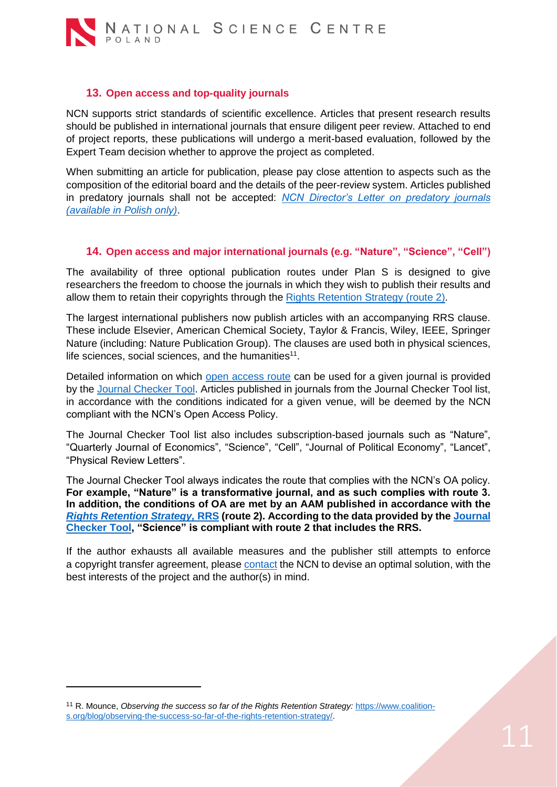

#### **13. Open access and top-quality journals**

<span id="page-10-0"></span>NCN supports strict standards of scientific excellence. Articles that present research results should be published in international journals that ensure diligent peer review. Attached to end of project reports, these publications will undergo a merit-based evaluation, followed by the Expert Team decision whether to approve the project as completed.

When submitting an article for publication, please pay close attention to aspects such as the composition of the editorial board and the details of the peer-review system. Articles published in predatory journals shall not be accepted: *[NCN Director's Letter on predatory journals](about:blank) (available in Polish only)*.

### **14. Open access and major international journals (e.g. "Nature", "Science", "Cell")**

<span id="page-10-1"></span>The availability of three optional publication routes under Plan S is designed to give researchers the freedom to choose the journals in which they wish to publish their results and allow them to retain their copyrights through the [Rights Retention Strategy \(route 2\).](#page-7-0)

The largest international publishers now publish articles with an accompanying RRS clause. These include Elsevier, American Chemical Society, Taylor & Francis, Wiley, IEEE, Springer Nature (including: Nature Publication Group). The clauses are used both in physical sciences, life sciences, social sciences, and the humanities $11$ .

Detailed information on which [open access route](#page-5-3) can be used for a given journal is provided by the [Journal Checker Tool.](https://journalcheckertool.org/) Articles published in journals from the Journal Checker Tool list, in accordance with the conditions indicated for a given venue, will be deemed by the NCN compliant with the NCN's Open Access Policy.

The Journal Checker Tool list also includes subscription-based journals such as "Nature", "Quarterly Journal of Economics", "Science", "Cell", "Journal of Political Economy", "Lancet", "Physical Review Letters".

The Journal Checker Tool always indicates the route that complies with the NCN's OA policy. **For example, "Nature" is a transformative journal, and as such complies with route 3. In addition, the conditions of OA are met by an AAM published in accordance with the**  *[Rights Retention Strategy,](#page-7-0)* **RRS (route 2). According to the data provided by th[e Journal](https://journalcheckertool.org/)  [Checker Tool,](https://journalcheckertool.org/) "Science" is compliant with route 2 that includes the RRS.** 

If the author exhausts all available measures and the publisher still attempts to enforce a copyright transfer agreement, please [contact](#page-11-1) the NCN to devise an optimal solution, with the best interests of the project and the author(s) in mind.

**.** 

<sup>11</sup> R. Mounce, *Observing the success so far of the Rights Retention Strategy:* [https://www.coalition](about:blank)[s.org/blog/observing-the-success-so-far-of-the-rights-retention-strategy/.](about:blank)